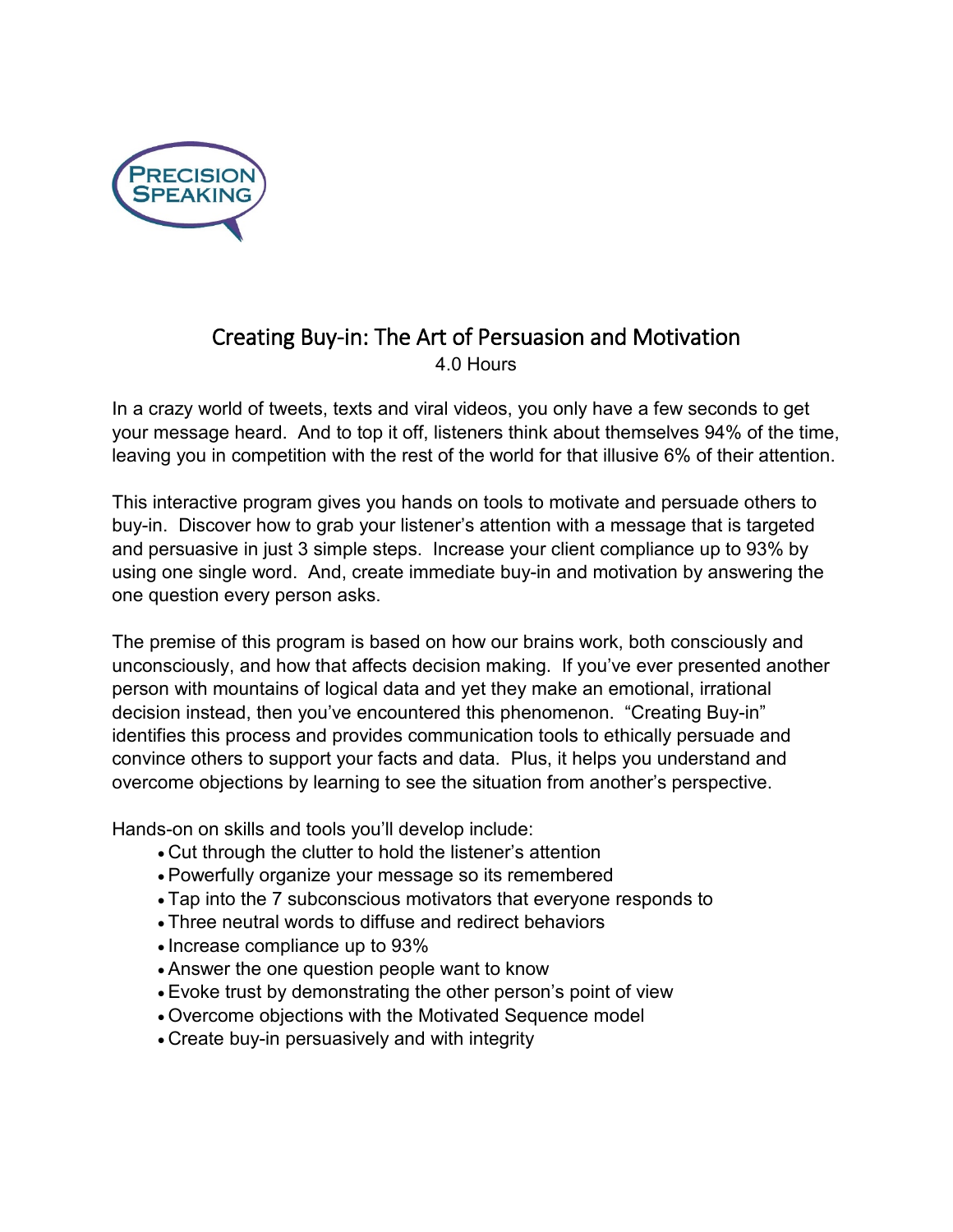

# Creating Buy-in: The Art of Persuasion and Motivation 4.0 Hours

In a crazy world of tweets, texts and viral videos, you only have a few seconds to get your message heard. And to top it off, listeners think about themselves 94% of the time, leaving you in competition with the rest of the world for that illusive 6% of their attention.

This interactive program gives you hands on tools to motivate and persuade others to buy-in. Discover how to grab your listener's attention with a message that is targeted and persuasive in just 3 simple steps. Increase your client compliance up to 93% by using one single word. And, create immediate buy-in and motivation by answering the one question every person asks.

The premise of this program is based on how our brains work, both consciously and unconsciously, and how that affects decision making. If you've ever presented another person with mountains of logical data and yet they make an emotional, irrational decision instead, then you've encountered this phenomenon. "Creating Buy-in" identifies this process and provides communication tools to ethically persuade and convince others to support your facts and data. Plus, it helps you understand and overcome objections by learning to see the situation from another's perspective.

Hands-on on skills and tools you'll develop include:

- Cut through the clutter to hold the listener's attention
- Powerfully organize your message so its remembered
- Tap into the 7 subconscious motivators that everyone responds to
- Three neutral words to diffuse and redirect behaviors
- Increase compliance up to 93%
- Answer the one question people want to know
- Evoke trust by demonstrating the other person's point of view
- Overcome objections with the Motivated Sequence model
- Create buy-in persuasively and with integrity